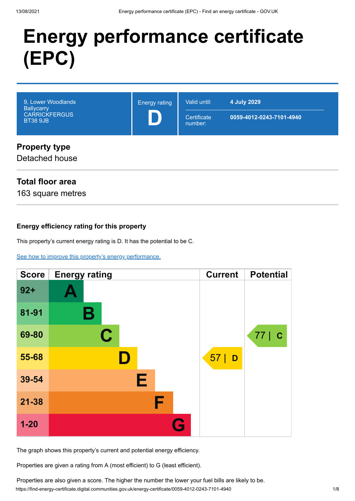# **Energy performance certificate (EPC)**

| 9, Lower Woodlands<br><b>Ballycarry</b><br><b>CARRICKFERGUS</b><br><b>BT38 9JB</b> | <b>Energy rating</b> | Valid until:<br>Certificate<br>number: | 4 July 2029<br>0059-4012-0243-7101-4940 |
|------------------------------------------------------------------------------------|----------------------|----------------------------------------|-----------------------------------------|
| <b>Property type</b><br>Detached house                                             |                      |                                        |                                         |

### **Total floor area**

163 square metres

### **Energy efficiency rating for this property**

This property's current energy rating is D. It has the potential to be C.

[See how to improve this property's energy performance.](#page-3-0)

| <b>Score</b> | <b>Energy rating</b> | <b>Current</b> | <b>Potential</b> |
|--------------|----------------------|----------------|------------------|
| $92 +$       |                      |                |                  |
| 81-91        | Β                    |                |                  |
| 69-80        | $\mathbf C$          |                | 77   C           |
| 55-68        |                      | 57<br>D        |                  |
| 39-54        | Е                    |                |                  |
| 21-38        | F                    |                |                  |
| $1 - 20$     |                      |                |                  |

The graph shows this property's current and potential energy efficiency.

Properties are given a rating from A (most efficient) to G (least efficient).

https://find-energy-certificate.digital.communities.gov.uk/energy-certificate/0059-4012-0243-7101-4940 1/8 Properties are also given a score. The higher the number the lower your fuel bills are likely to be.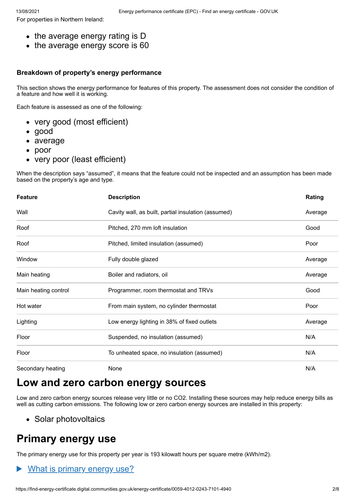For properties in Northern Ireland:

- the average energy rating is D
- the average energy score is 60

#### **Breakdown of property's energy performance**

This section shows the energy performance for features of this property. The assessment does not consider the condition of a feature and how well it is working.

Each feature is assessed as one of the following:

- very good (most efficient)
- good
- average
- poor
- very poor (least efficient)

When the description says "assumed", it means that the feature could not be inspected and an assumption has been made based on the property's age and type.

| <b>Feature</b>       | <b>Description</b>                                  | Rating  |
|----------------------|-----------------------------------------------------|---------|
| Wall                 | Cavity wall, as built, partial insulation (assumed) | Average |
| Roof                 | Pitched, 270 mm loft insulation                     | Good    |
| Roof                 | Pitched, limited insulation (assumed)               | Poor    |
| Window               | Fully double glazed                                 | Average |
| Main heating         | Boiler and radiators, oil                           | Average |
| Main heating control | Programmer, room thermostat and TRVs                | Good    |
| Hot water            | From main system, no cylinder thermostat            | Poor    |
| Lighting             | Low energy lighting in 38% of fixed outlets         | Average |
| Floor                | Suspended, no insulation (assumed)                  | N/A     |
| Floor                | To unheated space, no insulation (assumed)          | N/A     |
| Secondary heating    | None                                                | N/A     |

# **Low and zero carbon energy sources**

Low and zero carbon energy sources release very little or no CO2. Installing these sources may help reduce energy bills as well as cutting carbon emissions. The following low or zero carbon energy sources are installed in this property:

• Solar photovoltaics

# **Primary energy use**

The primary energy use for this property per year is 193 kilowatt hours per square metre (kWh/m2).

### What is primary energy use?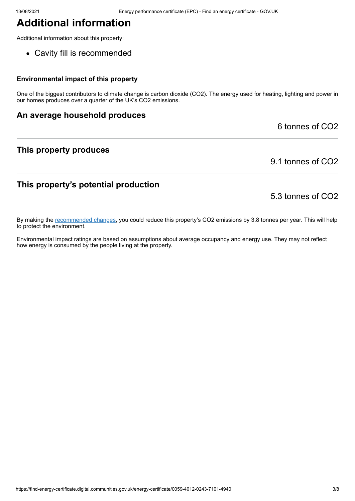# **Additional information**

Additional information about this property:

Cavity fill is recommended

#### **Environmental impact of this property**

One of the biggest contributors to climate change is carbon dioxide (CO2). The energy used for heating, lighting and power in our homes produces over a quarter of the UK's CO2 emissions.

### **An average household produces**

6 tonnes of CO2

### **This property produces**

9.1 tonnes of CO2

### **This property's potential production**

5.3 tonnes of CO2

By making the [recommended changes](#page-3-0), you could reduce this property's CO2 emissions by 3.8 tonnes per year. This will help to protect the environment.

Environmental impact ratings are based on assumptions about average occupancy and energy use. They may not reflect how energy is consumed by the people living at the property.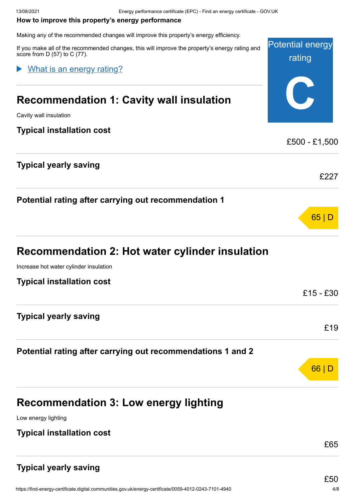#### <span id="page-3-0"></span>**How to improve this property's energy performance**

Making any of the recommended changes will improve this property's energy efficiency.

Potential energy rating **C** If you make all of the recommended changes, this will improve the property's energy rating and score from D (57) to C (77). **Recommendation 1: Cavity wall insulation** Cavity wall insulation **Typical installation cost** £500 - £1,500 **Typical yearly saving** £227 **Potential rating after carrying out recommendation 1** 65 | D **Recommendation 2: Hot water cylinder insulation** Increase hot water cylinder insulation **Typical installation cost** £15 - £30 **Typical yearly saving** What is an energy rating?

### **Potential rating after carrying out recommendations 1 and 2**

| <b>Recommendation 3: Low energy lighting</b> |  |
|----------------------------------------------|--|
|                                              |  |

Low energy lighting

### **Typical installation cost**

### **Typical yearly saving**

£65

£19

66 | D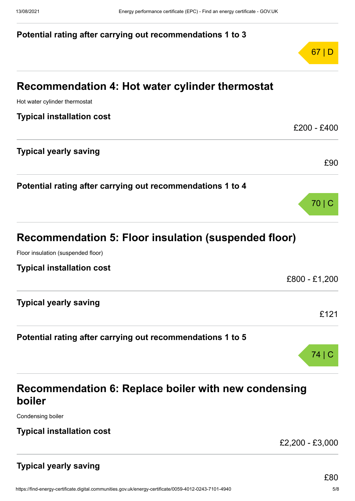### **Potential rating after carrying out recommendations 1 to 3**



# **Recommendation 6: Replace boiler with new condensing boiler**

Condensing boiler

**Typical installation cost**

£2,200 - £3,000

### **Typical yearly saving**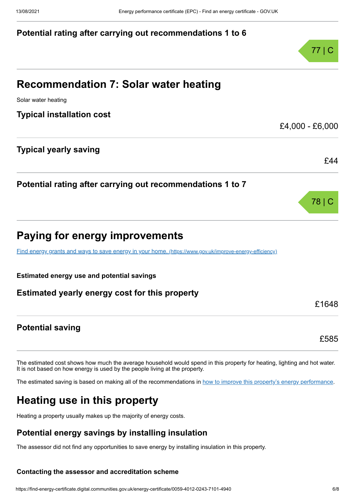### **Potential rating after carrying out recommendations 1 to 6**



The estimated cost shows how much the average household would spend in this property for heating, lighting and hot water. It is not based on how energy is used by the people living at the property.

The estimated saving is based on making all of the recommendations in [how to improve this property's energy performance.](#page-3-0)

# **Heating use in this property**

Heating a property usually makes up the majority of energy costs.

### **Potential energy savings by installing insulation**

The assessor did not find any opportunities to save energy by installing insulation in this property.

### **Contacting the assessor and accreditation scheme**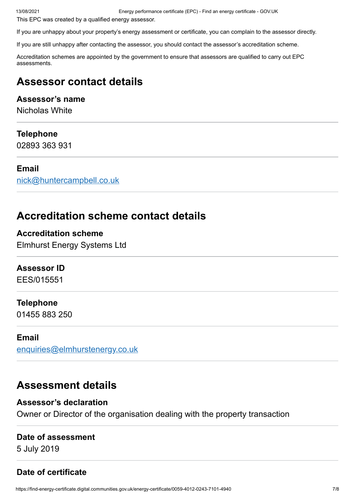13/08/2021 Energy performance certificate (EPC) - Find an energy certificate - GOV.UK

This EPC was created by a qualified energy assessor.

If you are unhappy about your property's energy assessment or certificate, you can complain to the assessor directly.

If you are still unhappy after contacting the assessor, you should contact the assessor's accreditation scheme.

Accreditation schemes are appointed by the government to ensure that assessors are qualified to carry out EPC assessments.

# **Assessor contact details**

### **Assessor's name**

Nicholas White

### **Telephone**

02893 363 931

### **Email**

[nick@huntercampbell.co.uk](mailto:nick@huntercampbell.co.uk)

# **Accreditation scheme contact details**

**Accreditation scheme** Elmhurst Energy Systems Ltd

### **Assessor ID**

EES/015551

### **Telephone**

01455 883 250

### **Email**

[enquiries@elmhurstenergy.co.uk](mailto:enquiries@elmhurstenergy.co.uk)

## **Assessment details**

### **Assessor's declaration**

Owner or Director of the organisation dealing with the property transaction

### **Date of assessment**

5 July 2019

### **Date of certificate**